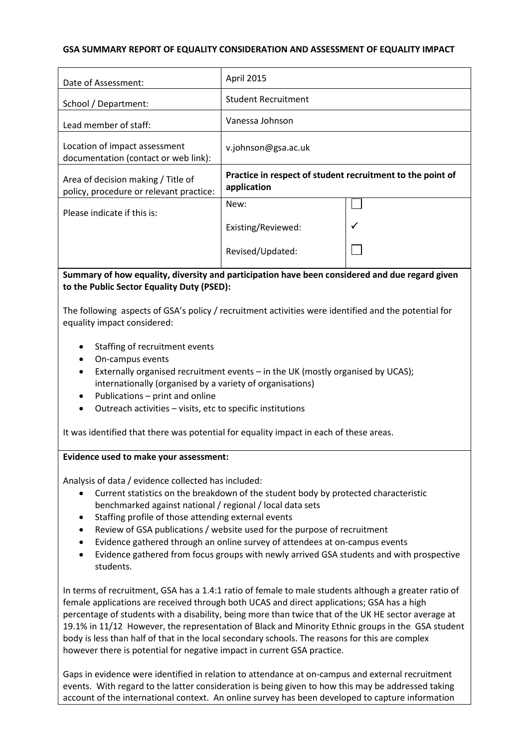## **GSA SUMMARY REPORT OF EQUALITY CONSIDERATION AND ASSESSMENT OF EQUALITY IMPACT**

| Date of Assessment:                                                                                                                                                                                                                                                                                                                                                                                                                                                                                                                                                                                                                                                                                     | April 2015                                                                |  |
|---------------------------------------------------------------------------------------------------------------------------------------------------------------------------------------------------------------------------------------------------------------------------------------------------------------------------------------------------------------------------------------------------------------------------------------------------------------------------------------------------------------------------------------------------------------------------------------------------------------------------------------------------------------------------------------------------------|---------------------------------------------------------------------------|--|
| School / Department:                                                                                                                                                                                                                                                                                                                                                                                                                                                                                                                                                                                                                                                                                    | <b>Student Recruitment</b>                                                |  |
| Lead member of staff:                                                                                                                                                                                                                                                                                                                                                                                                                                                                                                                                                                                                                                                                                   | Vanessa Johnson                                                           |  |
| Location of impact assessment<br>documentation (contact or web link):                                                                                                                                                                                                                                                                                                                                                                                                                                                                                                                                                                                                                                   | v.johnson@gsa.ac.uk                                                       |  |
| Area of decision making / Title of<br>policy, procedure or relevant practice:                                                                                                                                                                                                                                                                                                                                                                                                                                                                                                                                                                                                                           | Practice in respect of student recruitment to the point of<br>application |  |
| Please indicate if this is:                                                                                                                                                                                                                                                                                                                                                                                                                                                                                                                                                                                                                                                                             | New:                                                                      |  |
|                                                                                                                                                                                                                                                                                                                                                                                                                                                                                                                                                                                                                                                                                                         | Existing/Reviewed:                                                        |  |
|                                                                                                                                                                                                                                                                                                                                                                                                                                                                                                                                                                                                                                                                                                         | Revised/Updated:                                                          |  |
| Staffing of recruitment events<br>On-campus events<br>Externally organised recruitment events - in the UK (mostly organised by UCAS);<br>٠<br>internationally (organised by a variety of organisations)<br>Publications - print and online<br>Outreach activities - visits, etc to specific institutions<br>It was identified that there was potential for equality impact in each of these areas.                                                                                                                                                                                                                                                                                                      |                                                                           |  |
| Evidence used to make your assessment:<br>Analysis of data / evidence collected has included:<br>Current statistics on the breakdown of the student body by protected characteristic<br>$\bullet$<br>benchmarked against national / regional / local data sets<br>Staffing profile of those attending external events<br>٠<br>Review of GSA publications / website used for the purpose of recruitment<br>Evidence gathered through an online survey of attendees at on-campus events<br>Evidence gathered from focus groups with newly arrived GSA students and with prospective<br>students.<br>In terms of recruitment, GSA has a 1.4:1 ratio of female to male students although a greater ratio of |                                                                           |  |

female applications are received through both UCAS and direct applications; GSA has a high percentage of students with a disability, being more than twice that of the UK HE sector average at 19.1% in 11/12 However, the representation of Black and Minority Ethnic groups in the GSA student body is less than half of that in the local secondary schools. The reasons for this are complex however there is potential for negative impact in current GSA practice.

Gaps in evidence were identified in relation to attendance at on-campus and external recruitment events. With regard to the latter consideration is being given to how this may be addressed taking account of the international context. An online survey has been developed to capture information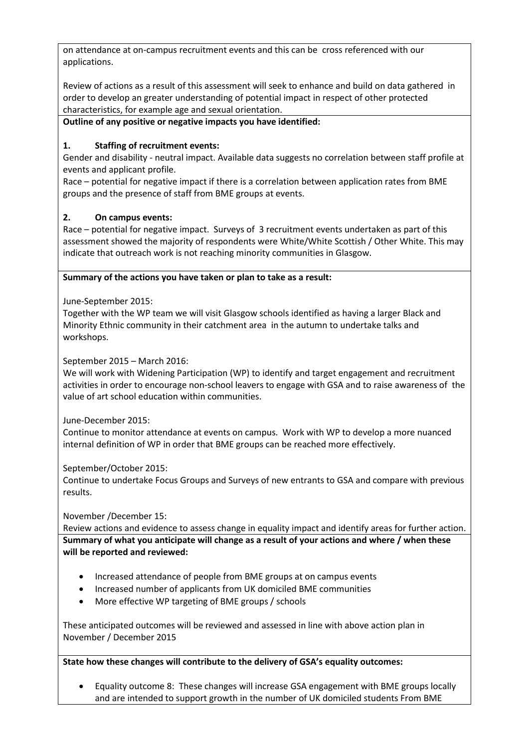on attendance at on-campus recruitment events and this can be cross referenced with our applications.

Review of actions as a result of this assessment will seek to enhance and build on data gathered in order to develop an greater understanding of potential impact in respect of other protected characteristics, for example age and sexual orientation.

# **Outline of any positive or negative impacts you have identified:**

# **1. Staffing of recruitment events:**

Gender and disability - neutral impact. Available data suggests no correlation between staff profile at events and applicant profile.

Race – potential for negative impact if there is a correlation between application rates from BME groups and the presence of staff from BME groups at events.

## **2. On campus events:**

Race – potential for negative impact. Surveys of 3 recruitment events undertaken as part of this assessment showed the majority of respondents were White/White Scottish / Other White. This may indicate that outreach work is not reaching minority communities in Glasgow.

## **Summary of the actions you have taken or plan to take as a result:**

June-September 2015:

Together with the WP team we will visit Glasgow schools identified as having a larger Black and Minority Ethnic community in their catchment area in the autumn to undertake talks and workshops.

September 2015 – March 2016:

We will work with Widening Participation (WP) to identify and target engagement and recruitment activities in order to encourage non-school leavers to engage with GSA and to raise awareness of the value of art school education within communities.

June-December 2015:

Continue to monitor attendance at events on campus. Work with WP to develop a more nuanced internal definition of WP in order that BME groups can be reached more effectively.

September/October 2015:

Continue to undertake Focus Groups and Surveys of new entrants to GSA and compare with previous results.

November /December 15:

Review actions and evidence to assess change in equality impact and identify areas for further action. **Summary of what you anticipate will change as a result of your actions and where / when these will be reported and reviewed:**

- Increased attendance of people from BME groups at on campus events
- Increased number of applicants from UK domiciled BME communities
- More effective WP targeting of BME groups / schools

These anticipated outcomes will be reviewed and assessed in line with above action plan in November / December 2015

# **State how these changes will contribute to the delivery of GSA's equality outcomes:**

 Equality outcome 8: These changes will increase GSA engagement with BME groups locally and are intended to support growth in the number of UK domiciled students From BME